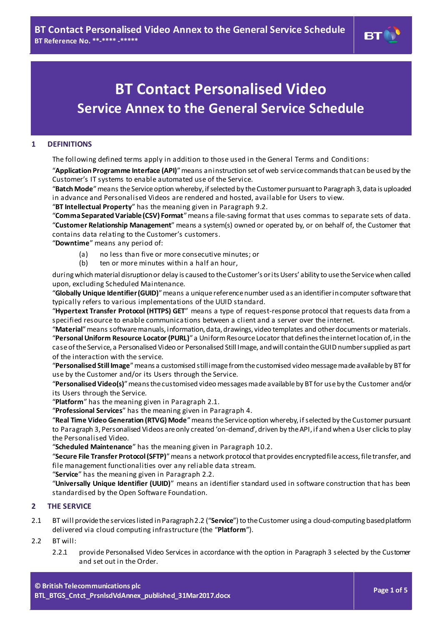# **BT Contact Personalised Video Service Annex to the General Service Schedule**

#### **1 DEFINITIONS**

The following defined terms apply in addition to those used in the General Terms and Conditions:

"**Application Programme Interface (API)**"means an instruction set of web service commands that can be used by the Customer's IT systems to enable automated use of the Service.

"**Batch Mode**"means the Service option whereby, if selected by the Customer pursuant to Paragraph [3,](#page-1-0) data is uploaded in advance and Personalised Videos are rendered and hosted, available for Users to view.

"**BT Intellectual Property**" has the meaning given in Paragr[aph](#page-3-0) 9.2.

"**Comma Separated Variable (CSV) Format**"means a file-saving format that uses commas to separate sets of data. "**Customer Relationship Management**" means a system(s) owned or operated by, or on behalf of, the Customer that contains data relating to the Customer's customers.

"**Downtime**" means any period of:

- (a) no less than five or more consecutive minutes; or (b) ten or more minutes within a half an hour,
- ten or more minutes within a half an hour,

during which material disruption or delay is caused to the Customer's or its Users' ability to use the Service when called upon, excluding Scheduled Maintenance.

"**Globally Unique Identifier (GUID)**"means a unique reference number used as an identifier in computer software that typically refers to various implementations of the UUID standard.

"**Hypertext Transfer Protocol (HTTPS) GET**" means a type of request-response protocol that requests data from a specified resource to enable communications between a client and a server over the internet.

"**Material**"means software manuals, information, data, drawings, video templates and other documents or materials. "**Personal Uniform Resource Locator (PURL)**" a Uniform Resource Locator that defines the internet location of, in the case of the Service, a Personalised Video or Personalised Still Image, and will contain the GUID number supplied as part of the interaction with the service.

"**Personalised Still Image**"means a customised still image from the customised video message made available by BT for use by the Customer and/or its Users through the Service.

"**Personalised Video(s)**"means the customised video messages made available by BT for use by the Customer and/or its Users through the Service.

"**Platform**" has the meaning given in Paragr[aph](#page-0-0) 2.1.

"**Professional Services**" has the meaning given in Paragr[ap](#page-1-1)h 4.

"**Real Time Video Generation (RTVG) Mode**"means the Service option whereby, if selected by the Customer pursuant to Paragraph [3](#page-1-0), Personalised Videos are only created 'on-demand', driven by the API, if and when a User clicks to play the Personalised Video.

"**Scheduled Maintenance**" has the meaning given in Paragr[aph](#page-3-1) 10.2.

"**Secure File Transfer Protocol (SFTP)**"means a network protocol that provides encrypted file access, file transfer, and file management functionalities over any reliable data stream.

"**Service**" has the meaning given in Paragr[aph](#page-0-1) 2.2.

"**Universally Unique Identifier (UUID)**" means an identifier standard used in software construction that has been standardised by the Open Software Foundation.

#### **2 THE SERVICE**

<span id="page-0-0"></span>2.1 BT will provide the services listed in Paragrap[h2.2](#page-0-1) ("**Service**") to the Customer using a cloud-computing based platform delivered via cloud computing infrastructure (the "**Platform**").

#### <span id="page-0-1"></span>2.2 BT will:

2.2.1 provide Personalised Video Services in accordance with the option in Paragraph [3](#page-1-0) selected by the Customer and set out in the Order.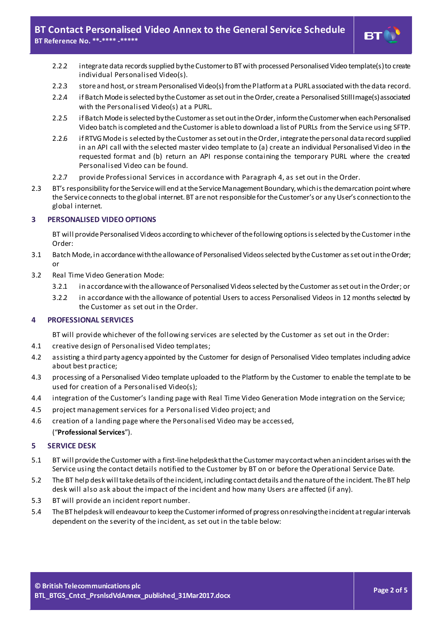- 2.2.2 integrate data records supplied by the Customer to BT with processed Personalised Video template(s) to create individual Personalised Video(s).
- 2.2.3 store and host, or stream Personalised Video(s) from the Platform at a PURL associated with the data record.
- 2.2.4 if Batch Mode is selected by the Customer as set out in the Order, create a Personalised Still Image(s) associated with the Personalised Video(s) at a PURL.
- 2.2.5 if Batch Mode is selected by the Customer as set out in the Order, inform the Customer when each Personalised Video batch is completed and the Customer is able to download a list of PURLs from the Service using SFTP.
- 2.2.6 if RTVG Mode is selected by the Customer as set out in the Order, integrate the personal data record supplied in an API call with the selected master video template to (a) create an individual Personalised Video in the requested format and (b) return an API response containing the temporary PURL where the created Personalised Video can be found.
- 2.2.7 provide Professional Services in accordance with Para[gra](#page-1-1)ph 4, as set out in the Order.
- 2.3 BT's responsibility for the Service will end at the Service Management Boundary, which is the demarcation point where the Service connects to the global internet. BT are not responsible for the Customer's or any User's connection to the global internet.

## <span id="page-1-0"></span>**3 PERSONALISED VIDEO OPTIONS**

BT will provide Personalised Videos according to whichever of the following options is selected by the Customer in the Order:

- 3.1 Batch Mode, in accordance with the allowance of Personalised Videos selected by the Customer as set out in the Order; or
- 3.2 Real Time Video Generation Mode:
	- 3.2.1 in accordance with the allowance of Personalised Videos selected by the Customer as set out in the Order; or
	- 3.2.2 in accordance with the allowance of potential Users to access Personalised Videos in 12 months selected by the Customer as set out in the Order.

## <span id="page-1-1"></span>**4 PROFESSIONAL SERVICES**

BT will provide whichever of the following services are selected by the Customer as set out in the Order:

- 4.1 creative design of Personalised Video templates;
- 4.2 assisting a third party agency appointed by the Customer for design of Personalised Video templates including advice about best practice;
- 4.3 processing of a Personalised Video template uploaded to the Platform by the Customer to enable the template to be used for creation of a Personalised Video(s);
- 4.4 integration of the Customer's landing page with Real Time Video Generation Mode integration on the Service;
- 4.5 project management services for a Personalised Video project; and
- 4.6 creation of a landing page where the Personalised Video may be accessed, ("**Professional Services**").

#### **5 SERVICE DESK**

- 5.1 BT will provide the Customer with a first-line helpdesk that the Customer may contact when an incident arises with the Service using the contact details notified to the Customer by BT on or before the Operational Service Date.
- 5.2 The BT help desk will take details of the incident, including contact details and the nature of the incident. The BT help desk will also ask about the impact of the incident and how many Users are affected (if any).
- 5.3 BT will provide an incident report number.
- 5.4 The BT helpdesk will endeavourto keep the Customer informed of progress on resolving the incident at regular intervals dependent on the severity of the incident, as set out in the table below: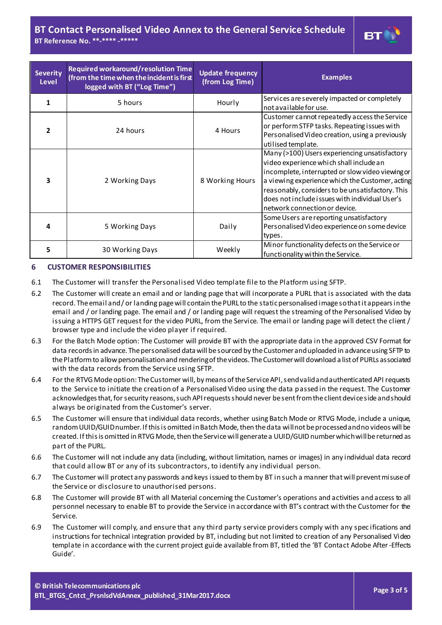# **BT Contact Personalised Video Annex to the General Service Schedule BT Reference No. \*\*-\*\*\*\* -\*\*\*\*\***



| <b>Severity</b><br><b>Level</b> | Required workaround/resolution Time<br>(from the time when the incident is first<br>logged with BT ("Log Time") | <b>Update frequency</b><br>(from Log Time) | <b>Examples</b>                                                                                                                                                                                                                                                                                                                        |
|---------------------------------|-----------------------------------------------------------------------------------------------------------------|--------------------------------------------|----------------------------------------------------------------------------------------------------------------------------------------------------------------------------------------------------------------------------------------------------------------------------------------------------------------------------------------|
| 1                               | 5 hours                                                                                                         | Hourly                                     | Services are severely impacted or completely<br>not available for use.                                                                                                                                                                                                                                                                 |
| $\overline{\mathbf{z}}$         | 24 hours                                                                                                        | 4 Hours                                    | Customer cannot repeatedly access the Service<br>or perform STFP tasks. Repeating issues with<br>Personalised Video creation, using a previously<br>utilised template.                                                                                                                                                                 |
| 3                               | 2 Working Days                                                                                                  | 8 Working Hours                            | Many (>100) Users experiencing unsatisfactory<br>video experience which shall include an<br>incomplete, interrupted or slow video viewing or<br>a viewing experience which the Customer, acting<br>reasonably, considers to be unsatisfactory. This<br>does not include issues with individual User's<br>network connection or device. |
| 4                               | 5 Working Days                                                                                                  | Daily                                      | Some Users are reporting unsatisfactory<br>Personalised Video experience on some device<br>types.                                                                                                                                                                                                                                      |
| 5                               | 30 Working Days                                                                                                 | Weekly                                     | Minor functionality defects on the Service or<br>functionality within the Service.                                                                                                                                                                                                                                                     |

#### <span id="page-2-0"></span>**6 CUSTOMER RESPONSIBILITIES**

- 6.1 The Customer will transfer the Personalised Video template file to the Platform using SFTP.
- 6.2 The Customer will create an email and or landing page that will incorporate a PURL that is associated with the data record. The email and / or landing page will contain the PURL to the static personalised image so that it appears in the email and / or landing page. The email and / or landing page will request the streaming of the Personalised Video by issuing a HTTPS GET request for the video PURL, from the Service. The email or landing page will detect the client / browser type and include the video player if required.
- 6.3 For the Batch Mode option: The Customer will provide BT with the appropriate data in the approved CSV Format for data records in advance. The personalised data will be sourced by the Customer and uploaded in advance using SFTP to the Platform to allow personalisation and rendering of the videos. The Customer will download a list of PURLs associated with the data records from the Service using SFTP.
- 6.4 For the RTVG Mode option: The Customer will, by means of the Service API, send valid and authenticated API requests to the Service to initiate the creation of a Personalised Video using the data passed in the request. The Customer acknowledges that, for security reasons, such API requests should never be sent from the client device side and should always be originated from the Customer's server.
- 6.5 The Customer will ensure that individual data records, whether using Batch Mode or RTVG Mode, include a unique, random UUID/GUID number. If this is omitted in Batch Mode, then the data will not be processed and no videos will be created. If this is omitted in RTVG Mode, then the Service will generate a UUID/GUID number which will be returned as part of the PURL.
- 6.6 The Customer will not include any data (including, without limitation, names or images) in any individual data record that could allow BT or any of its subcontractors, to identify any individual person.
- 6.7 The Customer will protect any passwords and keys issued to them by BT in such a manner that will prevent misuse of the Service or disclosure to unauthorised persons.
- <span id="page-2-1"></span>6.8 The Customer will provide BT with all Material concerning the Customer's operations and activities and access to all personnel necessary to enable BT to provide the Service in accordance with BT's contract with the Customer for the Service.
- 6.9 The Customer will comply, and ensure that any third party service providers comply with any spec ifications and instructions for technical integration provided by BT, including but not limited to creation of any Personalised Video template in accordance with the current project guide available from BT, titled the 'BT Contact Adobe After-Effects Guide'.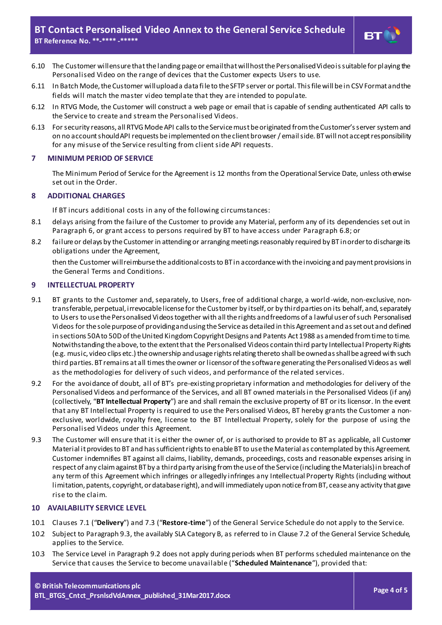

- 6.10 The Customer will ensure that the landing page or email that will host the Personalised Video is suitable for playing the Personalised Video on the range of devices that the Customer expects Users to use.
- 6.11 In Batch Mode, the Customer will upload a data fi le to the SFTP server or portal. This file will be in CSV Format and the fields will match the master video template that they are intended to populate.
- 6.12 In RTVG Mode, the Customer will construct a web page or email that is capable of sending authenticated API calls to the Service to create and stream the Personalised Videos.
- 6.13 For security reasons, all RTVG Mode API calls to the Service must be originated from the Customer's server system and on no account should API requests be implemented on the client browser / email side. BT will not accept responsibility for any misuse of the Service resulting from client side API requests.

#### **7 MINIMUM PERIOD OF SERVICE**

The Minimum Period of Service for the Agreement is 12 months from the Operational Service Date, unless otherwise set out in the Order.

#### **8 ADDITIONAL CHARGES**

If BT incurs additional costs in any of the following circumstances:

- 8.1 delays arising from the failure of the Customer to provide any Material, perform any of its dependencies set out in Paragrap[h](#page-2-0) 6, or grant access to persons required by BT to have access under Par[agra](#page-2-1)ph 6.8; or
- 8.2 failure or delays by the Customer in attending or arranging meetings reasonably required by BT in order to discharge its obligations under the Agreement,

then the Customer will reimburse the additional costs to BT in accordance with the invoicing and payment provisions in the General Terms and Conditions.

#### **9 INTELLECTUAL PROPERTY**

- 9.1 BT grants to the Customer and, separately, to Users, free of additional charge, a world-wide, non-exclusive, nontransferable, perpetual, irrevocable license for the Customer by itself, or by third parties on its behalf, and, separately to Users to use the Personalised Videos together with all the rights and freedoms of a lawful user of such Personalised Videos for the sole purpose of providing and using the Service as detailed in this Agreement and as set out and defined in sections 50A to 50D of the United Kingdom Copyright Designs and Patents Act 1988 as amended from time to time. Notwithstanding the above, to the extent that the Personalised Videos contain third party Intellectual Property Rights (e.g. music, video clips etc.) the ownership and usage rights relating thereto shall be owned as shall be agreed with such third parties. BT remains at all times the owner or licensor of the software generating the Personalised Videos as well as the methodologies for delivery of such videos, and performance of the related services.
- <span id="page-3-0"></span>9.2 For the avoidance of doubt, all of BT's pre-existing proprietary information and methodologies for delivery of the Personalised Videos and performance of the Services, and all BT owned materials in the Personalised Videos (if any) (collectively, "**BT Intellectual Property**") are and shall remain the exclusive property of BT or its licensor. In the event that any BT Intellectual Property is required to use the Personalised Videos, BT hereby grants the Customer a nonexclusive, worldwide, royalty free, license to the BT Intellectual Property, solely for the purpose of using the Personalised Videos under this Agreement.
- <span id="page-3-2"></span>9.3 The Customer will ensure that it is either the owner of, or is authorised to provide to BT as applicable, all Customer Material it provides to BT and has sufficient rights to enable BT to use the Material as contemplated by this Agreement. Customer indemnifies BT against all claims, liability, demands, proceedings, costs and reasonable expenses arising in respect of any claim against BT by a third party arising from the use of the Service (including the Materials) in breach of any term of this Agreement which infringes or allegedly infringes any Intellectual Property Rights (including without limitation, patents, copyright, or database right), and will immediately upon notice from BT, cease any activity that gave rise to the claim.

#### **10 AVAILABILITY SERVICE LEVEL**

- 10.1 Clauses 7.1 ("**Delivery**") and 7.3 ("**Restore-time**") of the General Service Schedule do not apply to the Service.
- <span id="page-3-1"></span>10.2 Subject to Paragraph [9.3](#page-3-2), the availably SLA Category B, as referred to in Clause 7.2 of the General Service Schedule, applies to the Service.
- 10.3 The Service Level in Paragraph [9.2](#page-3-0) does not apply during periods when BT performs scheduled maintenance on the Service that causes the Service to become unavailable ("**Scheduled Maintenance**"), provided that: